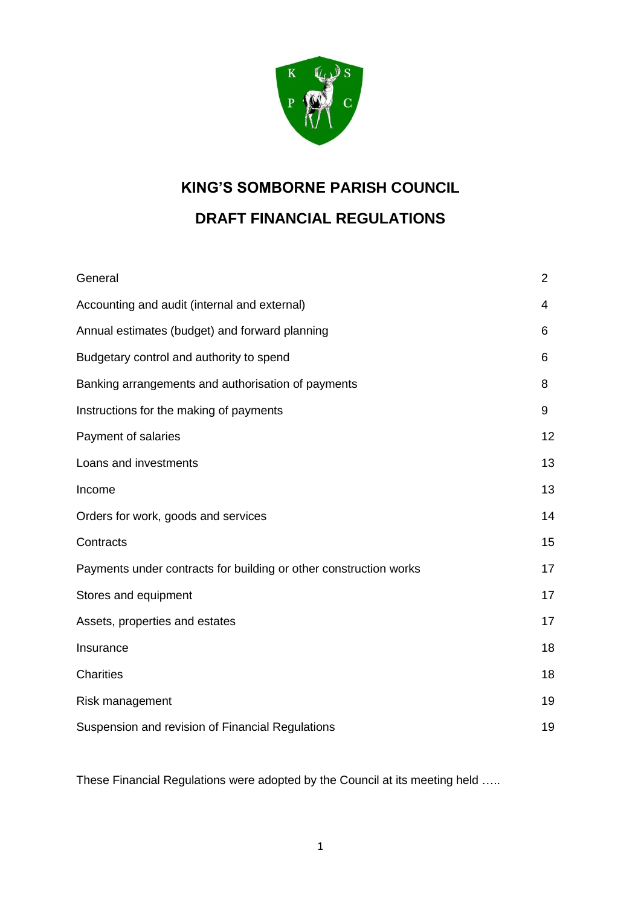

# **KING'S SOMBORNE PARISH COUNCIL**

# **DRAFT FINANCIAL REGULATIONS**

| General                                                           | $\overline{2}$ |
|-------------------------------------------------------------------|----------------|
| Accounting and audit (internal and external)                      | 4              |
| Annual estimates (budget) and forward planning                    | 6              |
| Budgetary control and authority to spend                          | 6              |
| Banking arrangements and authorisation of payments                | 8              |
| Instructions for the making of payments                           | 9              |
| Payment of salaries                                               | 12             |
| Loans and investments                                             | 13             |
| Income                                                            | 13             |
| Orders for work, goods and services                               | 14             |
| Contracts                                                         | 15             |
| Payments under contracts for building or other construction works | 17             |
| Stores and equipment                                              | 17             |
| Assets, properties and estates                                    | 17             |
| Insurance                                                         | 18             |
| Charities                                                         | 18             |
| Risk management                                                   | 19             |
| Suspension and revision of Financial Regulations                  | 19             |

These Financial Regulations were adopted by the Council at its meeting held …..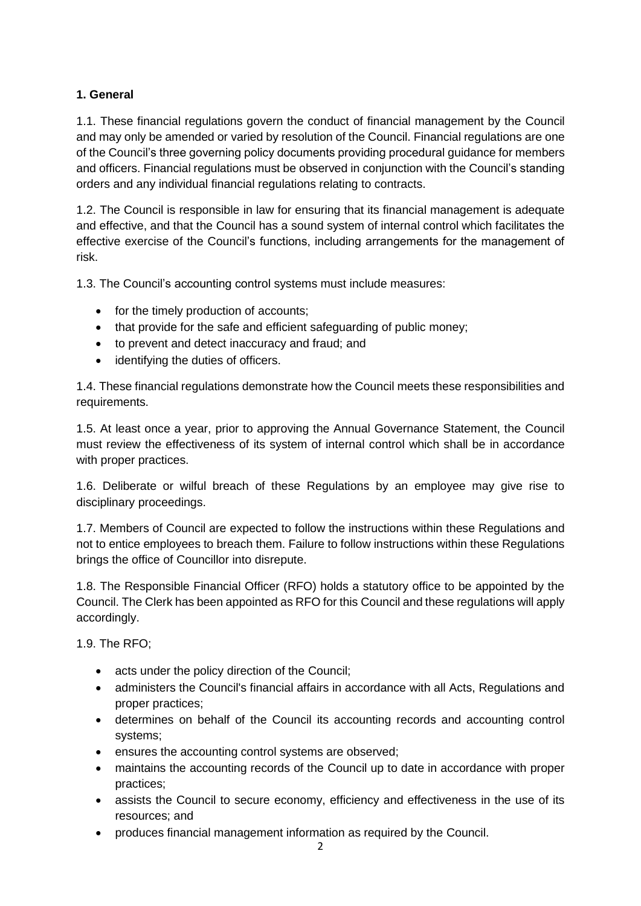## **1. General**

1.1. These financial regulations govern the conduct of financial management by the Council and may only be amended or varied by resolution of the Council. Financial regulations are one of the Council's three governing policy documents providing procedural guidance for members and officers. Financial regulations must be observed in conjunction with the Council's standing orders and any individual financial regulations relating to contracts.

1.2. The Council is responsible in law for ensuring that its financial management is adequate and effective, and that the Council has a sound system of internal control which facilitates the effective exercise of the Council's functions, including arrangements for the management of risk.

1.3. The Council's accounting control systems must include measures:

- for the timely production of accounts:
- that provide for the safe and efficient safeguarding of public money;
- to prevent and detect inaccuracy and fraud; and
- identifying the duties of officers.

1.4. These financial regulations demonstrate how the Council meets these responsibilities and requirements.

1.5. At least once a year, prior to approving the Annual Governance Statement, the Council must review the effectiveness of its system of internal control which shall be in accordance with proper practices.

1.6. Deliberate or wilful breach of these Regulations by an employee may give rise to disciplinary proceedings.

1.7. Members of Council are expected to follow the instructions within these Regulations and not to entice employees to breach them. Failure to follow instructions within these Regulations brings the office of Councillor into disrepute.

1.8. The Responsible Financial Officer (RFO) holds a statutory office to be appointed by the Council. The Clerk has been appointed as RFO for this Council and these regulations will apply accordingly.

1.9. The RFO;

- acts under the policy direction of the Council;
- administers the Council's financial affairs in accordance with all Acts, Regulations and proper practices;
- determines on behalf of the Council its accounting records and accounting control systems;
- ensures the accounting control systems are observed;
- maintains the accounting records of the Council up to date in accordance with proper practices;
- assists the Council to secure economy, efficiency and effectiveness in the use of its resources; and
- produces financial management information as required by the Council.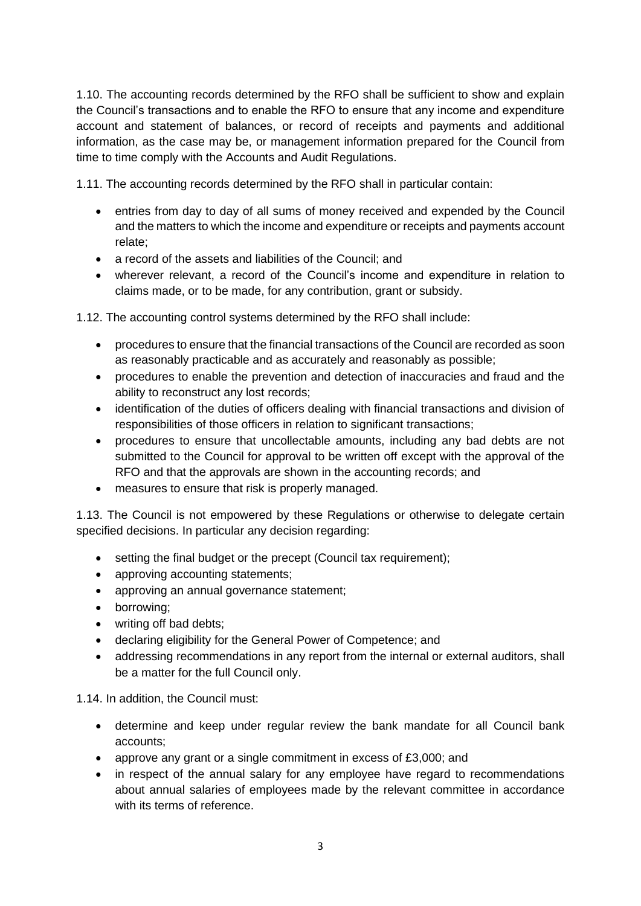1.10. The accounting records determined by the RFO shall be sufficient to show and explain the Council's transactions and to enable the RFO to ensure that any income and expenditure account and statement of balances, or record of receipts and payments and additional information, as the case may be, or management information prepared for the Council from time to time comply with the Accounts and Audit Regulations.

1.11. The accounting records determined by the RFO shall in particular contain:

- entries from day to day of all sums of money received and expended by the Council and the matters to which the income and expenditure or receipts and payments account relate;
- a record of the assets and liabilities of the Council; and
- wherever relevant, a record of the Council's income and expenditure in relation to claims made, or to be made, for any contribution, grant or subsidy.

1.12. The accounting control systems determined by the RFO shall include:

- procedures to ensure that the financial transactions of the Council are recorded as soon as reasonably practicable and as accurately and reasonably as possible;
- procedures to enable the prevention and detection of inaccuracies and fraud and the ability to reconstruct any lost records;
- identification of the duties of officers dealing with financial transactions and division of responsibilities of those officers in relation to significant transactions;
- procedures to ensure that uncollectable amounts, including any bad debts are not submitted to the Council for approval to be written off except with the approval of the RFO and that the approvals are shown in the accounting records; and
- measures to ensure that risk is properly managed.

1.13. The Council is not empowered by these Regulations or otherwise to delegate certain specified decisions. In particular any decision regarding:

- setting the final budget or the precept (Council tax requirement);
- approving accounting statements;
- approving an annual governance statement;
- borrowing;
- writing off bad debts;
- declaring eligibility for the General Power of Competence; and
- addressing recommendations in any report from the internal or external auditors, shall be a matter for the full Council only.

1.14. In addition, the Council must:

- determine and keep under regular review the bank mandate for all Council bank accounts;
- approve any grant or a single commitment in excess of £3,000; and
- in respect of the annual salary for any employee have regard to recommendations about annual salaries of employees made by the relevant committee in accordance with its terms of reference.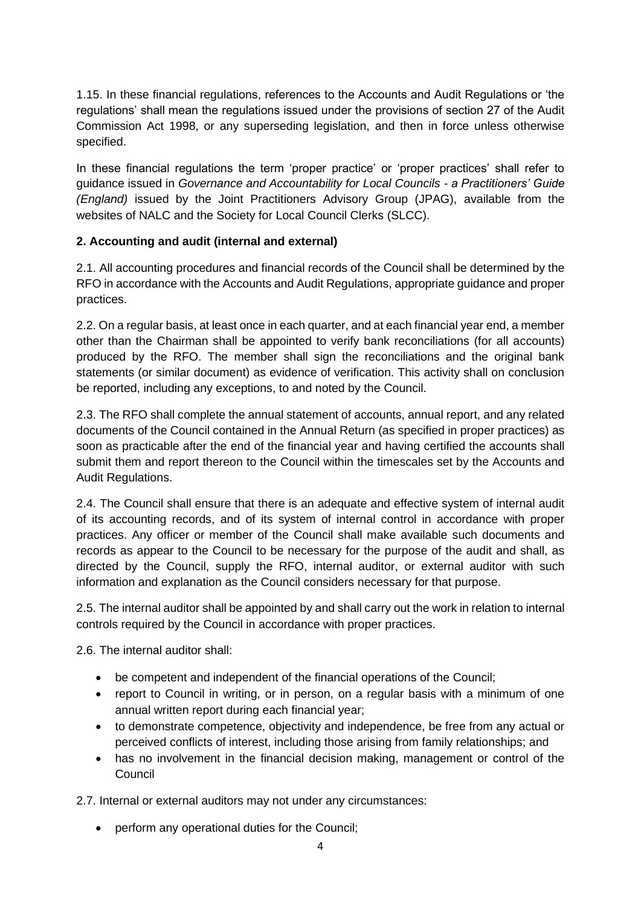1.15. In these financial regulations, references to the Accounts and Audit Regulations or 'the regulations' shall mean the regulations issued under the provisions of section 27 of the Audit Commission Act 1998, or any superseding legislation, and then in force unless otherwise specified.

In these financial regulations the term 'proper practice' or 'proper practices' shall refer to guidance issued in *Governance and Accountability for Local Councils - a Practitioners' Guide (England)* issued by the Joint Practitioners Advisory Group (JPAG), available from the websites of NALC and the Society for Local Council Clerks (SLCC).

## **2. Accounting and audit (internal and external)**

2.1. All accounting procedures and financial records of the Council shall be determined by the RFO in accordance with the Accounts and Audit Regulations, appropriate guidance and proper practices.

2.2. On a regular basis, at least once in each quarter, and at each financial year end, a member other than the Chairman shall be appointed to verify bank reconciliations (for all accounts) produced by the RFO. The member shall sign the reconciliations and the original bank statements (or similar document) as evidence of verification. This activity shall on conclusion be reported, including any exceptions, to and noted by the Council.

2.3. The RFO shall complete the annual statement of accounts, annual report, and any related documents of the Council contained in the Annual Return (as specified in proper practices) as soon as practicable after the end of the financial year and having certified the accounts shall submit them and report thereon to the Council within the timescales set by the Accounts and Audit Regulations.

2.4. The Council shall ensure that there is an adequate and effective system of internal audit of its accounting records, and of its system of internal control in accordance with proper practices. Any officer or member of the Council shall make available such documents and records as appear to the Council to be necessary for the purpose of the audit and shall, as directed by the Council, supply the RFO, internal auditor, or external auditor with such information and explanation as the Council considers necessary for that purpose.

2.5. The internal auditor shall be appointed by and shall carry out the work in relation to internal controls required by the Council in accordance with proper practices.

2.6. The internal auditor shall:

- be competent and independent of the financial operations of the Council;
- report to Council in writing, or in person, on a regular basis with a minimum of one annual written report during each financial year;
- to demonstrate competence, objectivity and independence, be free from any actual or perceived conflicts of interest, including those arising from family relationships; and
- has no involvement in the financial decision making, management or control of the Council

2.7. Internal or external auditors may not under any circumstances:

• perform any operational duties for the Council;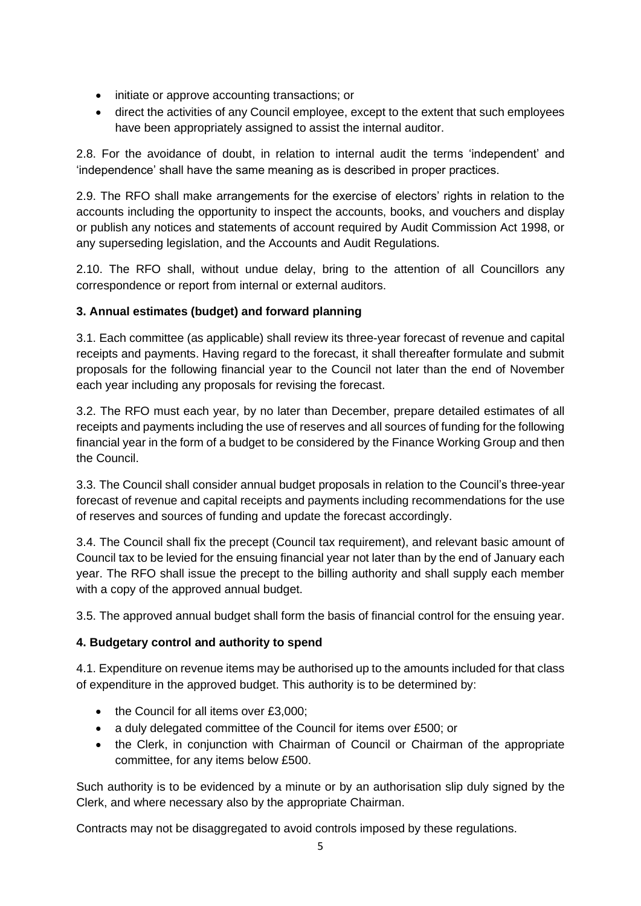- initiate or approve accounting transactions; or
- direct the activities of any Council employee, except to the extent that such employees have been appropriately assigned to assist the internal auditor.

2.8. For the avoidance of doubt, in relation to internal audit the terms 'independent' and 'independence' shall have the same meaning as is described in proper practices.

2.9. The RFO shall make arrangements for the exercise of electors' rights in relation to the accounts including the opportunity to inspect the accounts, books, and vouchers and display or publish any notices and statements of account required by Audit Commission Act 1998, or any superseding legislation, and the Accounts and Audit Regulations.

2.10. The RFO shall, without undue delay, bring to the attention of all Councillors any correspondence or report from internal or external auditors.

## **3. Annual estimates (budget) and forward planning**

3.1. Each committee (as applicable) shall review its three-year forecast of revenue and capital receipts and payments. Having regard to the forecast, it shall thereafter formulate and submit proposals for the following financial year to the Council not later than the end of November each year including any proposals for revising the forecast.

3.2. The RFO must each year, by no later than December, prepare detailed estimates of all receipts and payments including the use of reserves and all sources of funding for the following financial year in the form of a budget to be considered by the Finance Working Group and then the Council.

3.3. The Council shall consider annual budget proposals in relation to the Council's three-year forecast of revenue and capital receipts and payments including recommendations for the use of reserves and sources of funding and update the forecast accordingly.

3.4. The Council shall fix the precept (Council tax requirement), and relevant basic amount of Council tax to be levied for the ensuing financial year not later than by the end of January each year. The RFO shall issue the precept to the billing authority and shall supply each member with a copy of the approved annual budget.

3.5. The approved annual budget shall form the basis of financial control for the ensuing year.

## **4. Budgetary control and authority to spend**

4.1. Expenditure on revenue items may be authorised up to the amounts included for that class of expenditure in the approved budget. This authority is to be determined by:

- the Council for all items over £3,000;
- a duly delegated committee of the Council for items over £500; or
- the Clerk, in conjunction with Chairman of Council or Chairman of the appropriate committee, for any items below £500.

Such authority is to be evidenced by a minute or by an authorisation slip duly signed by the Clerk, and where necessary also by the appropriate Chairman.

Contracts may not be disaggregated to avoid controls imposed by these regulations.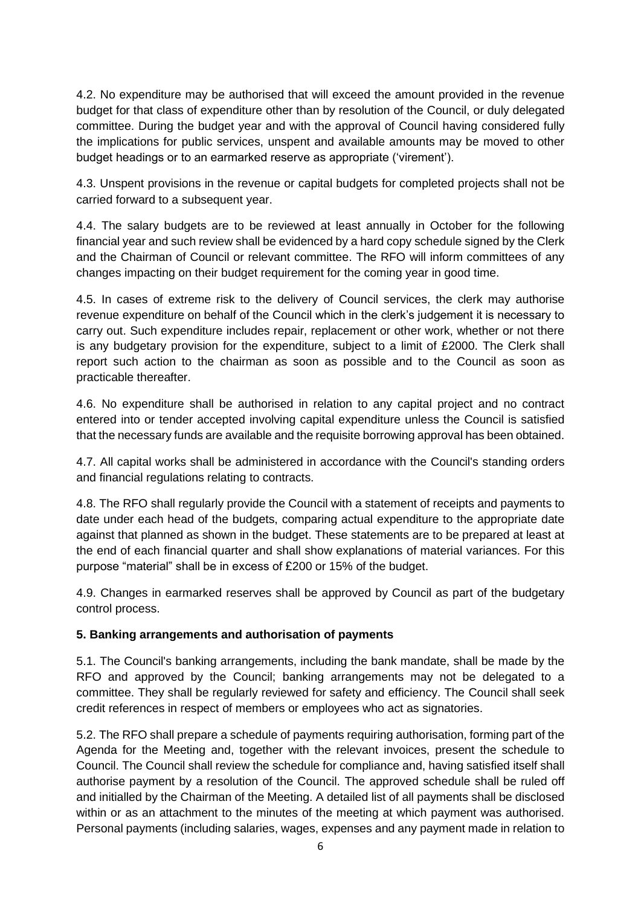4.2. No expenditure may be authorised that will exceed the amount provided in the revenue budget for that class of expenditure other than by resolution of the Council, or duly delegated committee. During the budget year and with the approval of Council having considered fully the implications for public services, unspent and available amounts may be moved to other budget headings or to an earmarked reserve as appropriate ('virement').

4.3. Unspent provisions in the revenue or capital budgets for completed projects shall not be carried forward to a subsequent year.

4.4. The salary budgets are to be reviewed at least annually in October for the following financial year and such review shall be evidenced by a hard copy schedule signed by the Clerk and the Chairman of Council or relevant committee. The RFO will inform committees of any changes impacting on their budget requirement for the coming year in good time.

4.5. In cases of extreme risk to the delivery of Council services, the clerk may authorise revenue expenditure on behalf of the Council which in the clerk's judgement it is necessary to carry out. Such expenditure includes repair, replacement or other work, whether or not there is any budgetary provision for the expenditure, subject to a limit of £2000. The Clerk shall report such action to the chairman as soon as possible and to the Council as soon as practicable thereafter.

4.6. No expenditure shall be authorised in relation to any capital project and no contract entered into or tender accepted involving capital expenditure unless the Council is satisfied that the necessary funds are available and the requisite borrowing approval has been obtained.

4.7. All capital works shall be administered in accordance with the Council's standing orders and financial regulations relating to contracts.

4.8. The RFO shall regularly provide the Council with a statement of receipts and payments to date under each head of the budgets, comparing actual expenditure to the appropriate date against that planned as shown in the budget. These statements are to be prepared at least at the end of each financial quarter and shall show explanations of material variances. For this purpose "material" shall be in excess of £200 or 15% of the budget.

4.9. Changes in earmarked reserves shall be approved by Council as part of the budgetary control process.

## **5. Banking arrangements and authorisation of payments**

5.1. The Council's banking arrangements, including the bank mandate, shall be made by the RFO and approved by the Council; banking arrangements may not be delegated to a committee. They shall be regularly reviewed for safety and efficiency. The Council shall seek credit references in respect of members or employees who act as signatories.

5.2. The RFO shall prepare a schedule of payments requiring authorisation, forming part of the Agenda for the Meeting and, together with the relevant invoices, present the schedule to Council. The Council shall review the schedule for compliance and, having satisfied itself shall authorise payment by a resolution of the Council. The approved schedule shall be ruled off and initialled by the Chairman of the Meeting. A detailed list of all payments shall be disclosed within or as an attachment to the minutes of the meeting at which payment was authorised. Personal payments (including salaries, wages, expenses and any payment made in relation to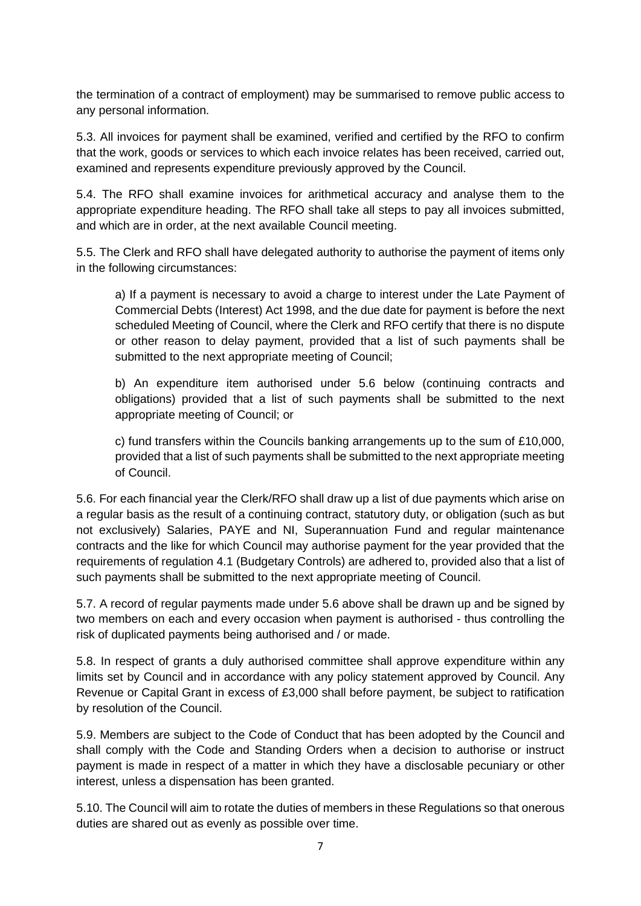the termination of a contract of employment) may be summarised to remove public access to any personal information.

5.3. All invoices for payment shall be examined, verified and certified by the RFO to confirm that the work, goods or services to which each invoice relates has been received, carried out, examined and represents expenditure previously approved by the Council.

5.4. The RFO shall examine invoices for arithmetical accuracy and analyse them to the appropriate expenditure heading. The RFO shall take all steps to pay all invoices submitted, and which are in order, at the next available Council meeting.

5.5. The Clerk and RFO shall have delegated authority to authorise the payment of items only in the following circumstances:

a) If a payment is necessary to avoid a charge to interest under the Late Payment of Commercial Debts (Interest) Act 1998, and the due date for payment is before the next scheduled Meeting of Council, where the Clerk and RFO certify that there is no dispute or other reason to delay payment, provided that a list of such payments shall be submitted to the next appropriate meeting of Council;

b) An expenditure item authorised under 5.6 below (continuing contracts and obligations) provided that a list of such payments shall be submitted to the next appropriate meeting of Council; or

c) fund transfers within the Councils banking arrangements up to the sum of £10,000, provided that a list of such payments shall be submitted to the next appropriate meeting of Council.

5.6. For each financial year the Clerk/RFO shall draw up a list of due payments which arise on a regular basis as the result of a continuing contract, statutory duty, or obligation (such as but not exclusively) Salaries, PAYE and NI, Superannuation Fund and regular maintenance contracts and the like for which Council may authorise payment for the year provided that the requirements of regulation 4.1 (Budgetary Controls) are adhered to, provided also that a list of such payments shall be submitted to the next appropriate meeting of Council.

5.7. A record of regular payments made under 5.6 above shall be drawn up and be signed by two members on each and every occasion when payment is authorised - thus controlling the risk of duplicated payments being authorised and / or made.

5.8. In respect of grants a duly authorised committee shall approve expenditure within any limits set by Council and in accordance with any policy statement approved by Council. Any Revenue or Capital Grant in excess of £3,000 shall before payment, be subject to ratification by resolution of the Council.

5.9. Members are subject to the Code of Conduct that has been adopted by the Council and shall comply with the Code and Standing Orders when a decision to authorise or instruct payment is made in respect of a matter in which they have a disclosable pecuniary or other interest, unless a dispensation has been granted.

5.10. The Council will aim to rotate the duties of members in these Regulations so that onerous duties are shared out as evenly as possible over time.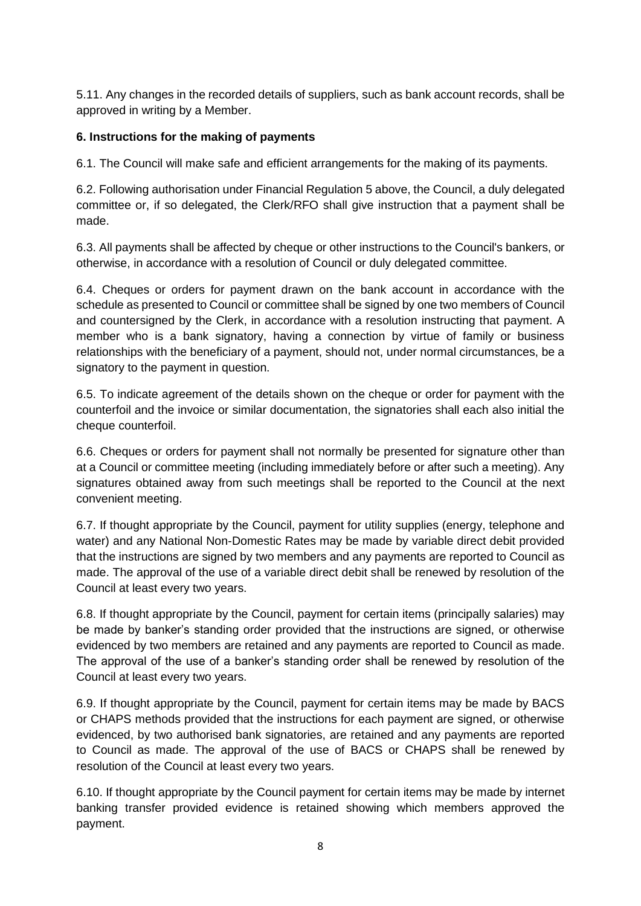5.11. Any changes in the recorded details of suppliers, such as bank account records, shall be approved in writing by a Member.

## **6. Instructions for the making of payments**

6.1. The Council will make safe and efficient arrangements for the making of its payments.

6.2. Following authorisation under Financial Regulation 5 above, the Council, a duly delegated committee or, if so delegated, the Clerk/RFO shall give instruction that a payment shall be made.

6.3. All payments shall be affected by cheque or other instructions to the Council's bankers, or otherwise, in accordance with a resolution of Council or duly delegated committee.

6.4. Cheques or orders for payment drawn on the bank account in accordance with the schedule as presented to Council or committee shall be signed by one two members of Council and countersigned by the Clerk, in accordance with a resolution instructing that payment. A member who is a bank signatory, having a connection by virtue of family or business relationships with the beneficiary of a payment, should not, under normal circumstances, be a signatory to the payment in question.

6.5. To indicate agreement of the details shown on the cheque or order for payment with the counterfoil and the invoice or similar documentation, the signatories shall each also initial the cheque counterfoil.

6.6. Cheques or orders for payment shall not normally be presented for signature other than at a Council or committee meeting (including immediately before or after such a meeting). Any signatures obtained away from such meetings shall be reported to the Council at the next convenient meeting.

6.7. If thought appropriate by the Council, payment for utility supplies (energy, telephone and water) and any National Non-Domestic Rates may be made by variable direct debit provided that the instructions are signed by two members and any payments are reported to Council as made. The approval of the use of a variable direct debit shall be renewed by resolution of the Council at least every two years.

6.8. If thought appropriate by the Council, payment for certain items (principally salaries) may be made by banker's standing order provided that the instructions are signed, or otherwise evidenced by two members are retained and any payments are reported to Council as made. The approval of the use of a banker's standing order shall be renewed by resolution of the Council at least every two years.

6.9. If thought appropriate by the Council, payment for certain items may be made by BACS or CHAPS methods provided that the instructions for each payment are signed, or otherwise evidenced, by two authorised bank signatories, are retained and any payments are reported to Council as made. The approval of the use of BACS or CHAPS shall be renewed by resolution of the Council at least every two years.

6.10. If thought appropriate by the Council payment for certain items may be made by internet banking transfer provided evidence is retained showing which members approved the payment.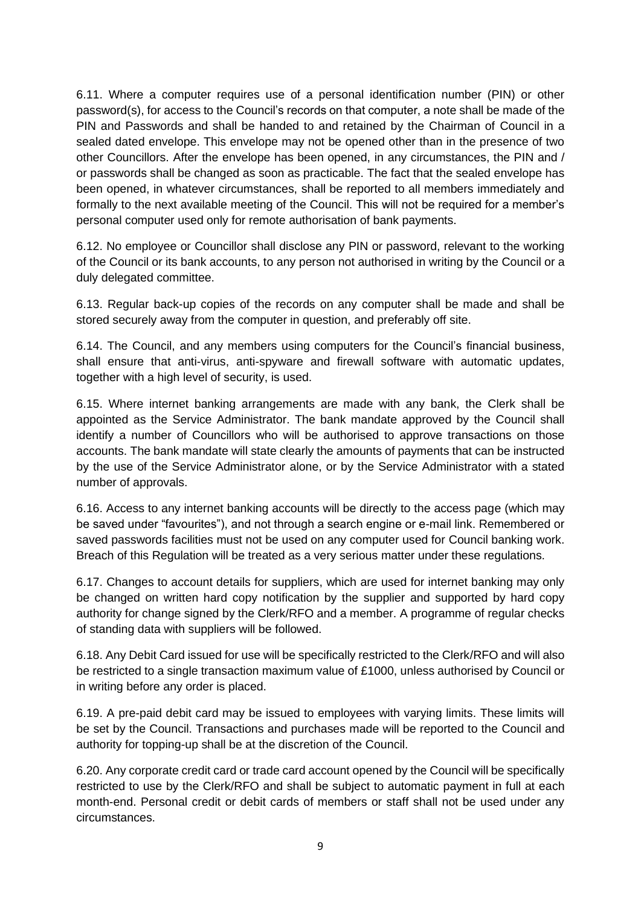6.11. Where a computer requires use of a personal identification number (PIN) or other password(s), for access to the Council's records on that computer, a note shall be made of the PIN and Passwords and shall be handed to and retained by the Chairman of Council in a sealed dated envelope. This envelope may not be opened other than in the presence of two other Councillors. After the envelope has been opened, in any circumstances, the PIN and / or passwords shall be changed as soon as practicable. The fact that the sealed envelope has been opened, in whatever circumstances, shall be reported to all members immediately and formally to the next available meeting of the Council. This will not be required for a member's personal computer used only for remote authorisation of bank payments.

6.12. No employee or Councillor shall disclose any PIN or password, relevant to the working of the Council or its bank accounts, to any person not authorised in writing by the Council or a duly delegated committee.

6.13. Regular back-up copies of the records on any computer shall be made and shall be stored securely away from the computer in question, and preferably off site.

6.14. The Council, and any members using computers for the Council's financial business, shall ensure that anti-virus, anti-spyware and firewall software with automatic updates, together with a high level of security, is used.

6.15. Where internet banking arrangements are made with any bank, the Clerk shall be appointed as the Service Administrator. The bank mandate approved by the Council shall identify a number of Councillors who will be authorised to approve transactions on those accounts. The bank mandate will state clearly the amounts of payments that can be instructed by the use of the Service Administrator alone, or by the Service Administrator with a stated number of approvals.

6.16. Access to any internet banking accounts will be directly to the access page (which may be saved under "favourites"), and not through a search engine or e-mail link. Remembered or saved passwords facilities must not be used on any computer used for Council banking work. Breach of this Regulation will be treated as a very serious matter under these regulations.

6.17. Changes to account details for suppliers, which are used for internet banking may only be changed on written hard copy notification by the supplier and supported by hard copy authority for change signed by the Clerk/RFO and a member. A programme of regular checks of standing data with suppliers will be followed.

6.18. Any Debit Card issued for use will be specifically restricted to the Clerk/RFO and will also be restricted to a single transaction maximum value of £1000, unless authorised by Council or in writing before any order is placed.

6.19. A pre-paid debit card may be issued to employees with varying limits. These limits will be set by the Council. Transactions and purchases made will be reported to the Council and authority for topping-up shall be at the discretion of the Council.

6.20. Any corporate credit card or trade card account opened by the Council will be specifically restricted to use by the Clerk/RFO and shall be subject to automatic payment in full at each month-end. Personal credit or debit cards of members or staff shall not be used under any circumstances.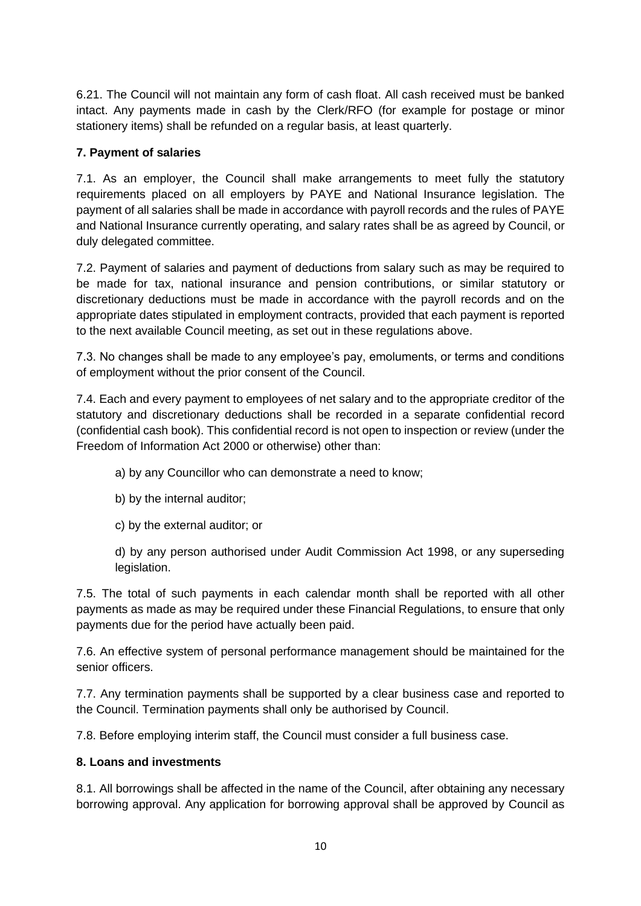6.21. The Council will not maintain any form of cash float. All cash received must be banked intact. Any payments made in cash by the Clerk/RFO (for example for postage or minor stationery items) shall be refunded on a regular basis, at least quarterly.

## **7. Payment of salaries**

7.1. As an employer, the Council shall make arrangements to meet fully the statutory requirements placed on all employers by PAYE and National Insurance legislation. The payment of all salaries shall be made in accordance with payroll records and the rules of PAYE and National Insurance currently operating, and salary rates shall be as agreed by Council, or duly delegated committee.

7.2. Payment of salaries and payment of deductions from salary such as may be required to be made for tax, national insurance and pension contributions, or similar statutory or discretionary deductions must be made in accordance with the payroll records and on the appropriate dates stipulated in employment contracts, provided that each payment is reported to the next available Council meeting, as set out in these regulations above.

7.3. No changes shall be made to any employee's pay, emoluments, or terms and conditions of employment without the prior consent of the Council.

7.4. Each and every payment to employees of net salary and to the appropriate creditor of the statutory and discretionary deductions shall be recorded in a separate confidential record (confidential cash book). This confidential record is not open to inspection or review (under the Freedom of Information Act 2000 or otherwise) other than:

- a) by any Councillor who can demonstrate a need to know;
- b) by the internal auditor;
- c) by the external auditor; or

d) by any person authorised under Audit Commission Act 1998, or any superseding legislation.

7.5. The total of such payments in each calendar month shall be reported with all other payments as made as may be required under these Financial Regulations, to ensure that only payments due for the period have actually been paid.

7.6. An effective system of personal performance management should be maintained for the senior officers.

7.7. Any termination payments shall be supported by a clear business case and reported to the Council. Termination payments shall only be authorised by Council.

7.8. Before employing interim staff, the Council must consider a full business case.

#### **8. Loans and investments**

8.1. All borrowings shall be affected in the name of the Council, after obtaining any necessary borrowing approval. Any application for borrowing approval shall be approved by Council as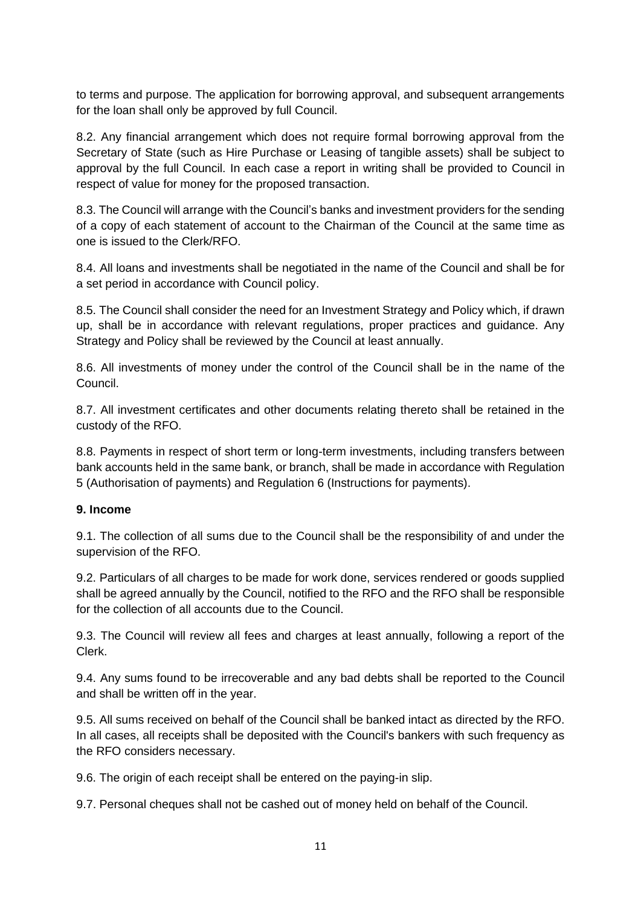to terms and purpose. The application for borrowing approval, and subsequent arrangements for the loan shall only be approved by full Council.

8.2. Any financial arrangement which does not require formal borrowing approval from the Secretary of State (such as Hire Purchase or Leasing of tangible assets) shall be subject to approval by the full Council. In each case a report in writing shall be provided to Council in respect of value for money for the proposed transaction.

8.3. The Council will arrange with the Council's banks and investment providers for the sending of a copy of each statement of account to the Chairman of the Council at the same time as one is issued to the Clerk/RFO.

8.4. All loans and investments shall be negotiated in the name of the Council and shall be for a set period in accordance with Council policy.

8.5. The Council shall consider the need for an Investment Strategy and Policy which, if drawn up, shall be in accordance with relevant regulations, proper practices and guidance. Any Strategy and Policy shall be reviewed by the Council at least annually.

8.6. All investments of money under the control of the Council shall be in the name of the Council.

8.7. All investment certificates and other documents relating thereto shall be retained in the custody of the RFO.

8.8. Payments in respect of short term or long-term investments, including transfers between bank accounts held in the same bank, or branch, shall be made in accordance with Regulation 5 (Authorisation of payments) and Regulation 6 (Instructions for payments).

#### **9. Income**

9.1. The collection of all sums due to the Council shall be the responsibility of and under the supervision of the RFO.

9.2. Particulars of all charges to be made for work done, services rendered or goods supplied shall be agreed annually by the Council, notified to the RFO and the RFO shall be responsible for the collection of all accounts due to the Council.

9.3. The Council will review all fees and charges at least annually, following a report of the Clerk.

9.4. Any sums found to be irrecoverable and any bad debts shall be reported to the Council and shall be written off in the year.

9.5. All sums received on behalf of the Council shall be banked intact as directed by the RFO. In all cases, all receipts shall be deposited with the Council's bankers with such frequency as the RFO considers necessary.

9.6. The origin of each receipt shall be entered on the paying-in slip.

9.7. Personal cheques shall not be cashed out of money held on behalf of the Council.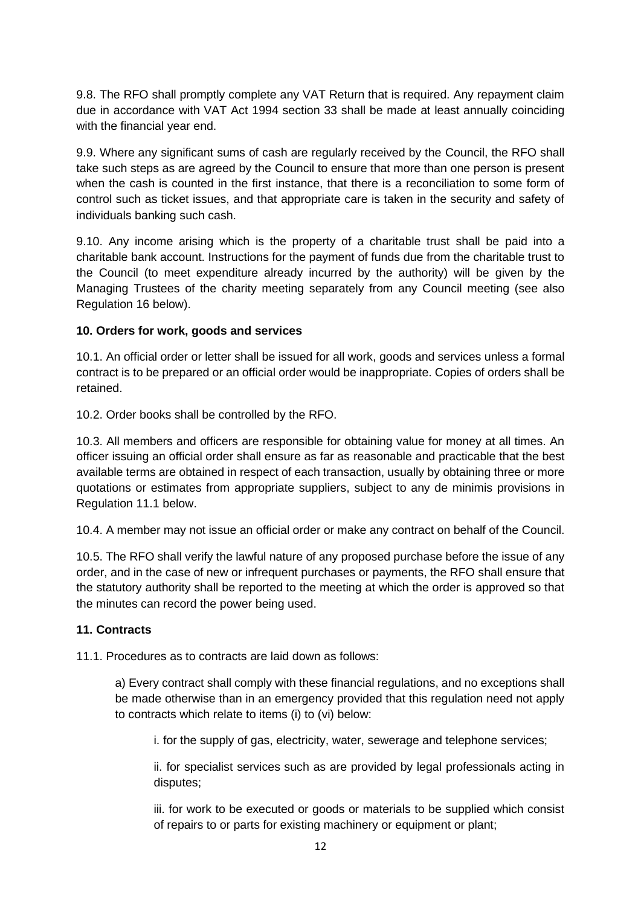9.8. The RFO shall promptly complete any VAT Return that is required. Any repayment claim due in accordance with VAT Act 1994 section 33 shall be made at least annually coinciding with the financial year end.

9.9. Where any significant sums of cash are regularly received by the Council, the RFO shall take such steps as are agreed by the Council to ensure that more than one person is present when the cash is counted in the first instance, that there is a reconciliation to some form of control such as ticket issues, and that appropriate care is taken in the security and safety of individuals banking such cash.

9.10. Any income arising which is the property of a charitable trust shall be paid into a charitable bank account. Instructions for the payment of funds due from the charitable trust to the Council (to meet expenditure already incurred by the authority) will be given by the Managing Trustees of the charity meeting separately from any Council meeting (see also Regulation 16 below).

#### **10. Orders for work, goods and services**

10.1. An official order or letter shall be issued for all work, goods and services unless a formal contract is to be prepared or an official order would be inappropriate. Copies of orders shall be retained.

10.2. Order books shall be controlled by the RFO.

10.3. All members and officers are responsible for obtaining value for money at all times. An officer issuing an official order shall ensure as far as reasonable and practicable that the best available terms are obtained in respect of each transaction, usually by obtaining three or more quotations or estimates from appropriate suppliers, subject to any de minimis provisions in Regulation 11.1 below.

10.4. A member may not issue an official order or make any contract on behalf of the Council.

10.5. The RFO shall verify the lawful nature of any proposed purchase before the issue of any order, and in the case of new or infrequent purchases or payments, the RFO shall ensure that the statutory authority shall be reported to the meeting at which the order is approved so that the minutes can record the power being used.

## **11. Contracts**

11.1. Procedures as to contracts are laid down as follows:

a) Every contract shall comply with these financial regulations, and no exceptions shall be made otherwise than in an emergency provided that this regulation need not apply to contracts which relate to items (i) to (vi) below:

i. for the supply of gas, electricity, water, sewerage and telephone services;

ii. for specialist services such as are provided by legal professionals acting in disputes;

iii. for work to be executed or goods or materials to be supplied which consist of repairs to or parts for existing machinery or equipment or plant;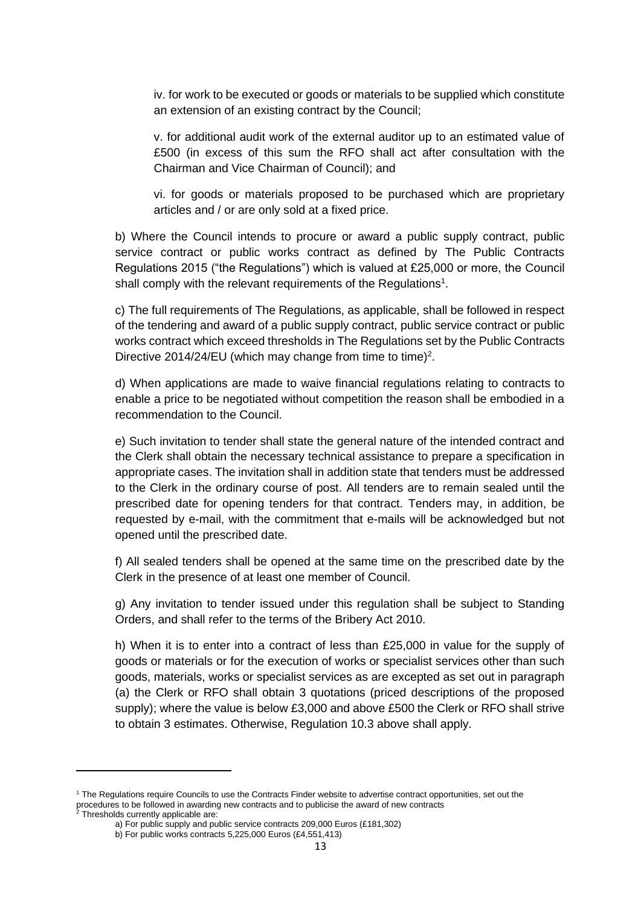iv. for work to be executed or goods or materials to be supplied which constitute an extension of an existing contract by the Council;

v. for additional audit work of the external auditor up to an estimated value of £500 (in excess of this sum the RFO shall act after consultation with the Chairman and Vice Chairman of Council); and

vi. for goods or materials proposed to be purchased which are proprietary articles and / or are only sold at a fixed price.

b) Where the Council intends to procure or award a public supply contract, public service contract or public works contract as defined by The Public Contracts Regulations 2015 ("the Regulations") which is valued at £25,000 or more, the Council shall comply with the relevant requirements of the Regulations<sup>1</sup>.

c) The full requirements of The Regulations, as applicable, shall be followed in respect of the tendering and award of a public supply contract, public service contract or public works contract which exceed thresholds in The Regulations set by the Public Contracts Directive 2014/24/EU (which may change from time to time)<sup>2</sup>.

d) When applications are made to waive financial regulations relating to contracts to enable a price to be negotiated without competition the reason shall be embodied in a recommendation to the Council.

e) Such invitation to tender shall state the general nature of the intended contract and the Clerk shall obtain the necessary technical assistance to prepare a specification in appropriate cases. The invitation shall in addition state that tenders must be addressed to the Clerk in the ordinary course of post. All tenders are to remain sealed until the prescribed date for opening tenders for that contract. Tenders may, in addition, be requested by e-mail, with the commitment that e-mails will be acknowledged but not opened until the prescribed date.

f) All sealed tenders shall be opened at the same time on the prescribed date by the Clerk in the presence of at least one member of Council.

g) Any invitation to tender issued under this regulation shall be subject to Standing Orders, and shall refer to the terms of the Bribery Act 2010.

h) When it is to enter into a contract of less than £25,000 in value for the supply of goods or materials or for the execution of works or specialist services other than such goods, materials, works or specialist services as are excepted as set out in paragraph (a) the Clerk or RFO shall obtain 3 quotations (priced descriptions of the proposed supply); where the value is below £3,000 and above £500 the Clerk or RFO shall strive to obtain 3 estimates. Otherwise, Regulation 10.3 above shall apply.

<sup>&</sup>lt;sup>1</sup> The Regulations require Councils to use the Contracts Finder website to advertise contract opportunities, set out the procedures to be followed in awarding new contracts and to publicise the award of new contracts  $2$  Thresholds currently applicable are:

a) For public supply and public service contracts 209,000 Euros (£181,302)

b) For public works contracts 5,225,000 Euros (£4,551,413)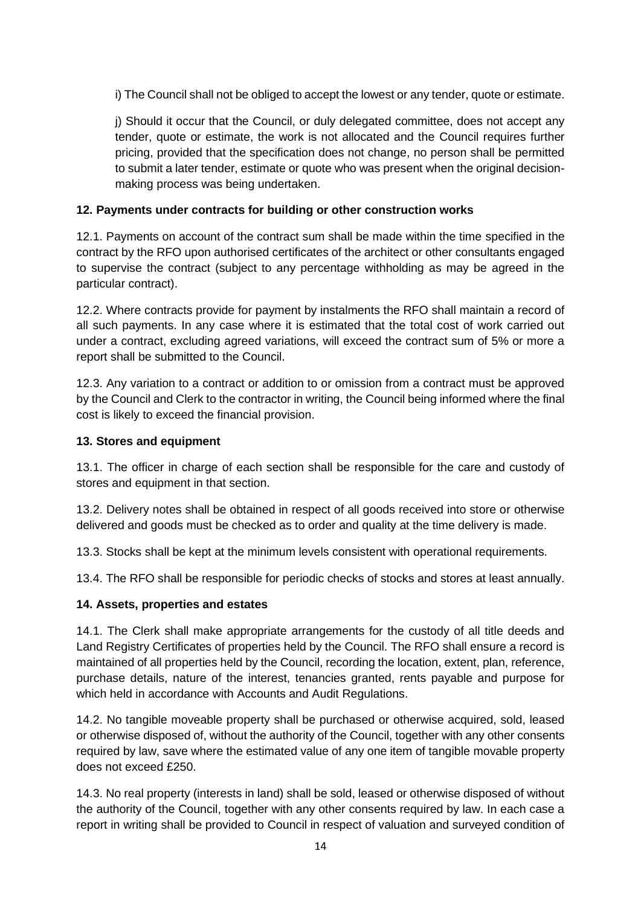i) The Council shall not be obliged to accept the lowest or any tender, quote or estimate.

j) Should it occur that the Council, or duly delegated committee, does not accept any tender, quote or estimate, the work is not allocated and the Council requires further pricing, provided that the specification does not change, no person shall be permitted to submit a later tender, estimate or quote who was present when the original decisionmaking process was being undertaken.

## **12. Payments under contracts for building or other construction works**

12.1. Payments on account of the contract sum shall be made within the time specified in the contract by the RFO upon authorised certificates of the architect or other consultants engaged to supervise the contract (subject to any percentage withholding as may be agreed in the particular contract).

12.2. Where contracts provide for payment by instalments the RFO shall maintain a record of all such payments. In any case where it is estimated that the total cost of work carried out under a contract, excluding agreed variations, will exceed the contract sum of 5% or more a report shall be submitted to the Council.

12.3. Any variation to a contract or addition to or omission from a contract must be approved by the Council and Clerk to the contractor in writing, the Council being informed where the final cost is likely to exceed the financial provision.

## **13. Stores and equipment**

13.1. The officer in charge of each section shall be responsible for the care and custody of stores and equipment in that section.

13.2. Delivery notes shall be obtained in respect of all goods received into store or otherwise delivered and goods must be checked as to order and quality at the time delivery is made.

13.3. Stocks shall be kept at the minimum levels consistent with operational requirements.

13.4. The RFO shall be responsible for periodic checks of stocks and stores at least annually.

## **14. Assets, properties and estates**

14.1. The Clerk shall make appropriate arrangements for the custody of all title deeds and Land Registry Certificates of properties held by the Council. The RFO shall ensure a record is maintained of all properties held by the Council, recording the location, extent, plan, reference, purchase details, nature of the interest, tenancies granted, rents payable and purpose for which held in accordance with Accounts and Audit Regulations.

14.2. No tangible moveable property shall be purchased or otherwise acquired, sold, leased or otherwise disposed of, without the authority of the Council, together with any other consents required by law, save where the estimated value of any one item of tangible movable property does not exceed £250.

14.3. No real property (interests in land) shall be sold, leased or otherwise disposed of without the authority of the Council, together with any other consents required by law. In each case a report in writing shall be provided to Council in respect of valuation and surveyed condition of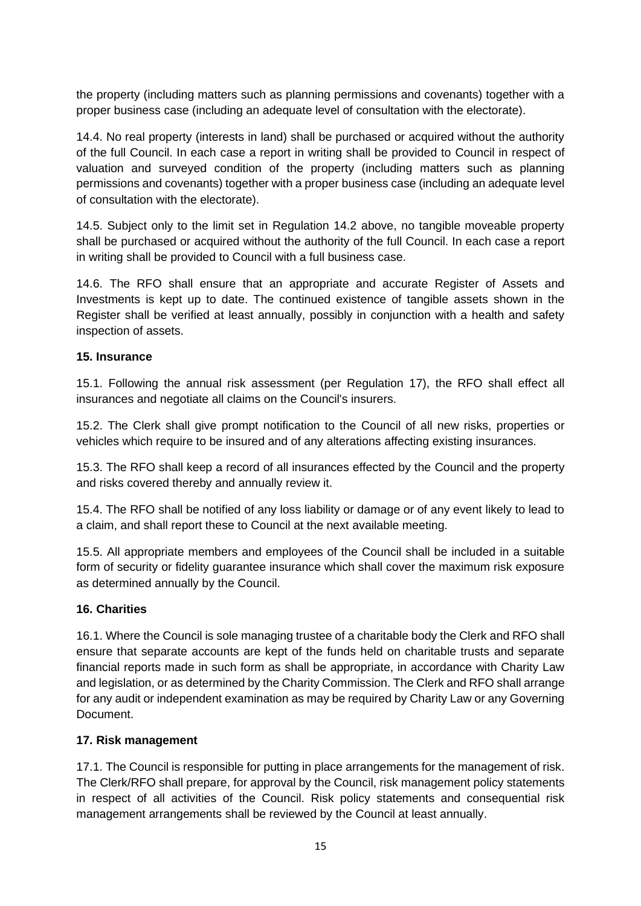the property (including matters such as planning permissions and covenants) together with a proper business case (including an adequate level of consultation with the electorate).

14.4. No real property (interests in land) shall be purchased or acquired without the authority of the full Council. In each case a report in writing shall be provided to Council in respect of valuation and surveyed condition of the property (including matters such as planning permissions and covenants) together with a proper business case (including an adequate level of consultation with the electorate).

14.5. Subject only to the limit set in Regulation 14.2 above, no tangible moveable property shall be purchased or acquired without the authority of the full Council. In each case a report in writing shall be provided to Council with a full business case.

14.6. The RFO shall ensure that an appropriate and accurate Register of Assets and Investments is kept up to date. The continued existence of tangible assets shown in the Register shall be verified at least annually, possibly in conjunction with a health and safety inspection of assets.

#### **15. Insurance**

15.1. Following the annual risk assessment (per Regulation 17), the RFO shall effect all insurances and negotiate all claims on the Council's insurers.

15.2. The Clerk shall give prompt notification to the Council of all new risks, properties or vehicles which require to be insured and of any alterations affecting existing insurances.

15.3. The RFO shall keep a record of all insurances effected by the Council and the property and risks covered thereby and annually review it.

15.4. The RFO shall be notified of any loss liability or damage or of any event likely to lead to a claim, and shall report these to Council at the next available meeting.

15.5. All appropriate members and employees of the Council shall be included in a suitable form of security or fidelity guarantee insurance which shall cover the maximum risk exposure as determined annually by the Council.

## **16. Charities**

16.1. Where the Council is sole managing trustee of a charitable body the Clerk and RFO shall ensure that separate accounts are kept of the funds held on charitable trusts and separate financial reports made in such form as shall be appropriate, in accordance with Charity Law and legislation, or as determined by the Charity Commission. The Clerk and RFO shall arrange for any audit or independent examination as may be required by Charity Law or any Governing Document.

#### **17. Risk management**

17.1. The Council is responsible for putting in place arrangements for the management of risk. The Clerk/RFO shall prepare, for approval by the Council, risk management policy statements in respect of all activities of the Council. Risk policy statements and consequential risk management arrangements shall be reviewed by the Council at least annually.